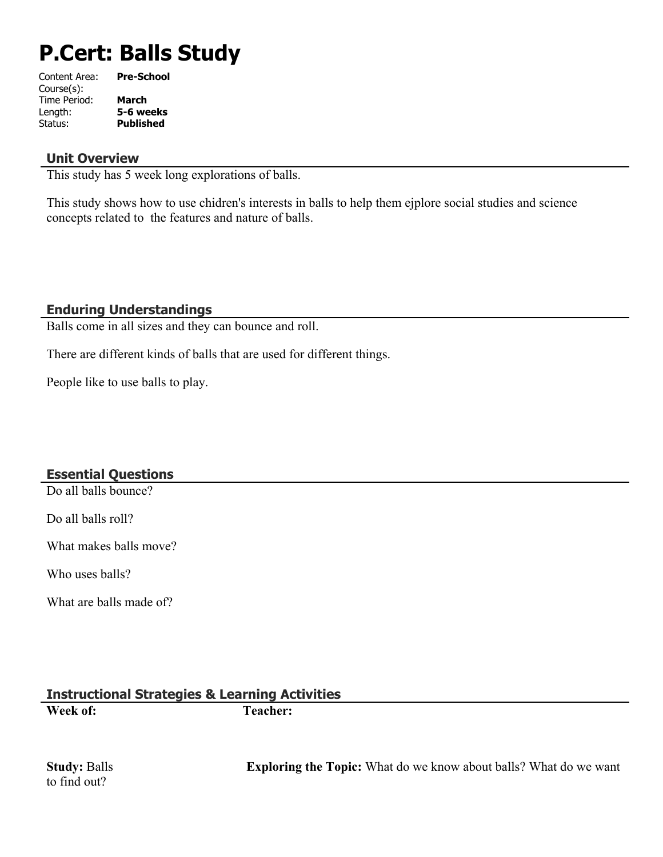# **P.Cert: Balls Study**

| Content Area: | <b>Pre-School</b> |
|---------------|-------------------|
| Course(s):    |                   |
| Time Period:  | <b>March</b>      |
| Length:       | 5-6 weeks         |
| Status:       | <b>Published</b>  |
|               |                   |

#### **Unit Overview**

This study has 5 week long explorations of balls.

This study shows how to use chidren's interests in balls to help them ejplore social studies and science concepts related to the features and nature of balls.

#### **Enduring Understandings**

Balls come in all sizes and they can bounce and roll.

There are different kinds of balls that are used for different things.

People like to use balls to play.

# **Essential Questions**

Do all balls bounce?

Do all balls roll?

What makes balls move?

Who uses balls?

What are balls made of?

# **Instructional Strategies & Learning Activities**

**Week of: Teacher:** 

to find out?

**Study:** Balls **Exploring the Topic:** What do we know about balls? What do we want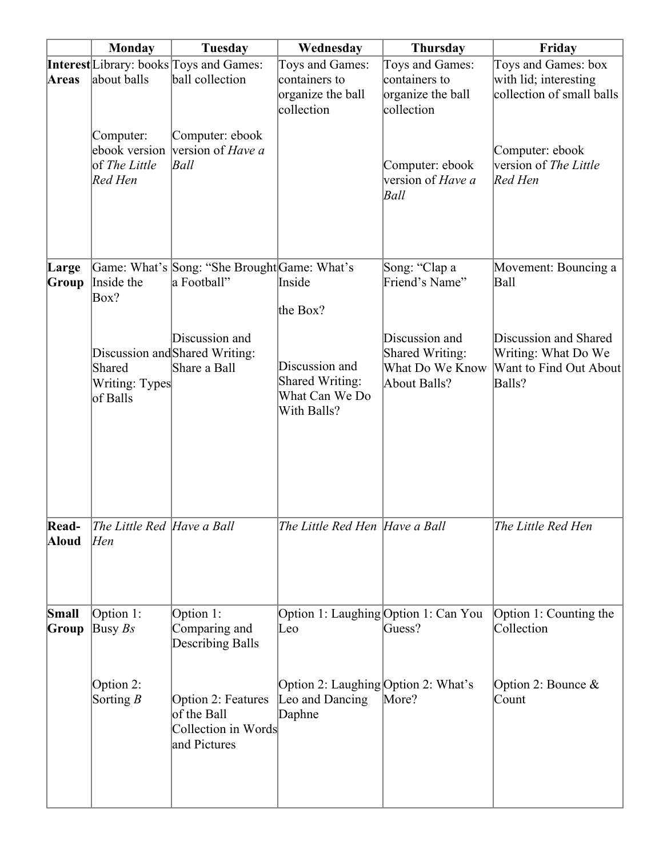|                | <b>Monday</b>                                          | <b>Tuesday</b>                                                           | Wednesday                                                           | <b>Thursday</b>                                                      | Friday                                                                           |
|----------------|--------------------------------------------------------|--------------------------------------------------------------------------|---------------------------------------------------------------------|----------------------------------------------------------------------|----------------------------------------------------------------------------------|
| Areas          | about balls                                            | <b>Interest</b> Library: books Toys and Games:<br>ball collection        | Toys and Games:<br>containers to<br>organize the ball<br>collection | Toys and Games:<br>containers to<br>organize the ball<br>collection  | Toys and Games: box<br>with lid; interesting<br>collection of small balls        |
|                | Computer:<br>ebook version<br>of The Little<br>Red Hen | Computer: ebook<br>version of Have a<br>Ball                             |                                                                     | Computer: ebook<br>version of Have a<br>Ball                         | Computer: ebook<br>version of The Little<br>Red Hen                              |
| Large<br>Group | Inside the<br>Box?                                     | Game: What's Song: "She Brought Game: What's<br>a Football"              | Inside<br>the Box?                                                  | Song: "Clap a<br>Friend's Name"                                      | Movement: Bouncing a<br><b>Ball</b>                                              |
|                | Shared<br>Writing: Types<br>of Balls                   | Discussion and<br>Discussion and Shared Writing:<br>Share a Ball         | Discussion and<br>Shared Writing:<br>What Can We Do<br>With Balls?  | Discussion and<br>Shared Writing:<br>What Do We Know<br>About Balls? | Discussion and Shared<br>Writing: What Do We<br>Want to Find Out About<br>Balls? |
| Read-<br>Aloud | The Little Red Have a Ball<br>Hen                      |                                                                          | The Little Red Hen  Have a Ball                                     |                                                                      | The Little Red Hen                                                               |
| Small<br>Group | Option 1:<br>Busy $Bs$                                 | Option 1:<br>Comparing and<br>Describing Balls                           | Leo                                                                 | Option 1: Laughing Option 1: Can You<br>Guess?                       | Option 1: Counting the<br>Collection                                             |
|                | Option 2:<br>Sorting $B$                               | Option 2: Features<br>of the Ball<br>Collection in Words<br>and Pictures | Option 2: Laughing Option 2: What's<br>Leo and Dancing<br>Daphne    | More?                                                                | Option 2: Bounce $\&$<br>Count                                                   |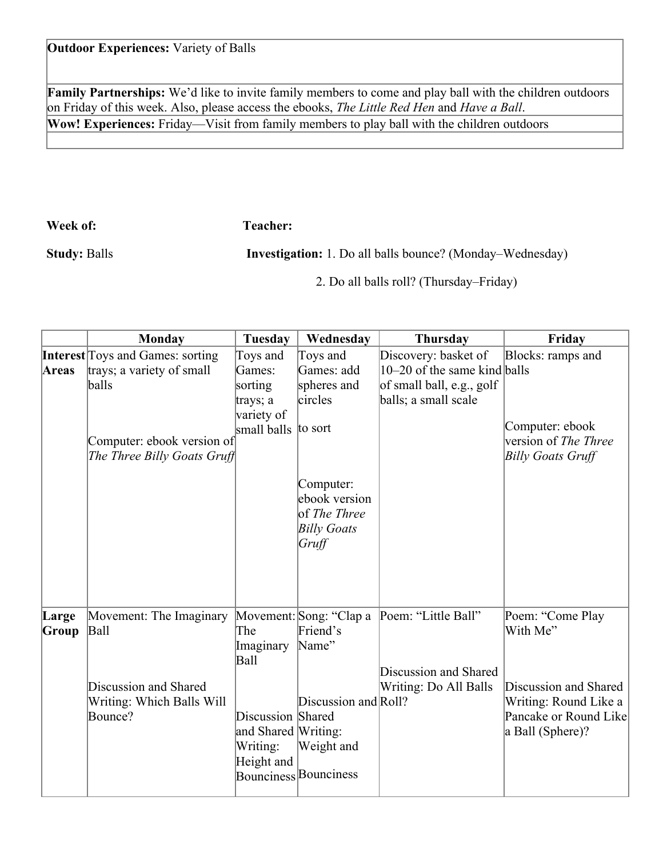# **Outdoor Experiences:** Variety of Balls

**Family Partnerships:** We'd like to invite family members to come and play ball with the children outdoors on Friday of this week. Also, please access the ebooks, *The Little Red Hen* and *Have a Ball*. **Wow! Experiences:** Friday—Visit from family members to play ball with the children outdoors

**Week of: Teacher:** 

**Study:** Balls **Investigation:** 1. Do all balls bounce? (Monday–Wednesday)

2. Do all balls roll? (Thursday–Friday)

| <b>Monday</b>                                                                                           | Tuesday                                            | Wednesday                                                                        | <b>Thursday</b>                                                                                         | Friday                                                                                                                      |
|---------------------------------------------------------------------------------------------------------|----------------------------------------------------|----------------------------------------------------------------------------------|---------------------------------------------------------------------------------------------------------|-----------------------------------------------------------------------------------------------------------------------------|
| <b>Interest</b> Toys and Games: sorting                                                                 | Toys and                                           | Toys and                                                                         | Discovery: basket of                                                                                    | Blocks: ramps and                                                                                                           |
| trays; a variety of small                                                                               | Games:                                             | Games: add                                                                       | $10-20$ of the same kind balls                                                                          |                                                                                                                             |
| balls                                                                                                   | sorting                                            | spheres and                                                                      | of small ball, e.g., golf                                                                               |                                                                                                                             |
|                                                                                                         | trays; a                                           | circles                                                                          | balls; a small scale                                                                                    |                                                                                                                             |
|                                                                                                         | variety of                                         |                                                                                  |                                                                                                         |                                                                                                                             |
|                                                                                                         | small balls                                        |                                                                                  |                                                                                                         | Computer: ebook                                                                                                             |
|                                                                                                         |                                                    |                                                                                  |                                                                                                         | version of <i>The Three</i>                                                                                                 |
|                                                                                                         |                                                    |                                                                                  |                                                                                                         | <b>Billy Goats Gruff</b>                                                                                                    |
|                                                                                                         |                                                    | Computer:<br>ebook version<br>of <i>The Three</i><br><b>Billy Goats</b><br>Gruff |                                                                                                         |                                                                                                                             |
| Movement: The Imaginary<br><b>Ball</b><br>Discussion and Shared<br>Writing: Which Balls Will<br>Bounce? | The<br>Imaginary<br>Ball<br>Writing:<br>Height and | Friend's<br>Name"<br>Weight and                                                  | Discussion and Shared<br>Writing: Do All Balls                                                          | Poem: "Come Play<br>With Me"<br>Discussion and Shared<br>Writing: Round Like a<br>Pancake or Round Like<br>a Ball (Sphere)? |
|                                                                                                         |                                                    | Computer: ebook version of<br>The Three Billy Goats Gruff                        | to sort<br>Movement: Song: "Clap a<br>Discussion Shared<br>and Shared Writing:<br>Bounciness Bounciness | Poem: "Little Ball"<br>Discussion and Roll?                                                                                 |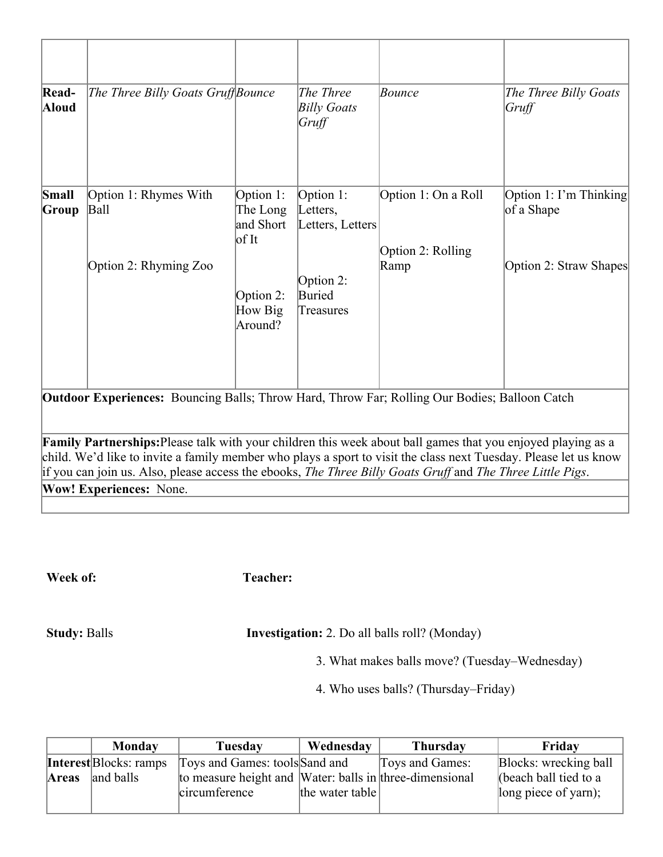| Read-<br><b>Aloud</b> | The Three Billy Goats Gruff Bounce                                                                                                                                                                                               |                                                      | The Three<br><b>Billy Goats</b><br>Gruff  | Bounce                                   | The Three Billy Goats<br>Gruff       |
|-----------------------|----------------------------------------------------------------------------------------------------------------------------------------------------------------------------------------------------------------------------------|------------------------------------------------------|-------------------------------------------|------------------------------------------|--------------------------------------|
| Small<br>Group        | Option 1: Rhymes With<br><b>Ball</b>                                                                                                                                                                                             | Option 1:<br>The Long<br>and Short<br>$\frac{1}{10}$ | Option 1:<br>Letters,<br>Letters, Letters | Option 1: On a Roll<br>Option 2: Rolling | Option 1: I'm Thinking<br>of a Shape |
|                       | Option 2: Rhyming Zoo                                                                                                                                                                                                            | Option 2:<br>How Big<br>Around?                      | Option 2:<br>Buried<br>Treasures          | Ramp                                     | Option 2: Straw Shapes               |
|                       | <b>Outdoor Experiences:</b> Bouncing Balls; Throw Hard, Throw Far; Rolling Our Bodies; Balloon Catch                                                                                                                             |                                                      |                                           |                                          |                                      |
|                       | Family Partnerships: Please talk with your children this week about ball games that you enjoyed playing as a<br>child. We'd like to invite a family member who plays a sport to visit the class next Tuesday. Please let us know |                                                      |                                           |                                          |                                      |
|                       | if you can join us. Also, please access the ebooks, The Three Billy Goats Gruff and The Three Little Pigs.<br><b>Wow! Experiences: None.</b>                                                                                     |                                                      |                                           |                                          |                                      |
|                       |                                                                                                                                                                                                                                  |                                                      |                                           |                                          |                                      |

**Week of: Teacher:** 

**Study:** Balls **Investigation:** 2. Do all balls roll? (Monday)

3. What makes balls move? (Tuesday–Wednesday)

4. Who uses balls? (Thursday–Friday)

|       | Monday                        | Tuesday                                                 | Wednesday       | <b>Thursday</b> | Friday                |
|-------|-------------------------------|---------------------------------------------------------|-----------------|-----------------|-----------------------|
|       | <b>Interest</b> Blocks: ramps | Toys and Games: tools Sand and                          |                 | Toys and Games: | Blocks: wrecking ball |
| Areas | and balls                     | to measure height and Water: balls in three-dimensional |                 |                 | (beach ball tied to a |
|       |                               | circumference                                           | the water table |                 | long piece of yarn);  |
|       |                               |                                                         |                 |                 |                       |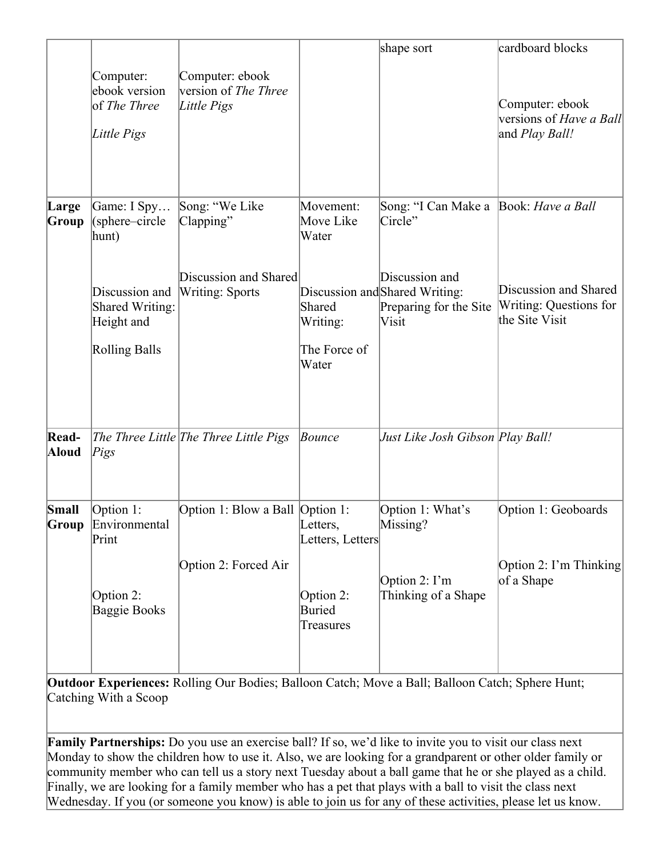|                | Computer:<br>ebook version<br>of The Three<br>Little Pigs                                                  | Computer: ebook<br>version of <i>The Three</i><br>Little Pigs                  |                                                                                | shape sort                                                                                                                              | cardboard blocks<br>Computer: ebook<br>versions of <i>Have a Ball</i><br>and <i>Play Ball!</i> |
|----------------|------------------------------------------------------------------------------------------------------------|--------------------------------------------------------------------------------|--------------------------------------------------------------------------------|-----------------------------------------------------------------------------------------------------------------------------------------|------------------------------------------------------------------------------------------------|
| Large<br>Group | Game: I Spy<br>(sphere-circle<br>hunt)<br>Discussion and<br>Shared Writing:<br>Height and<br>Rolling Balls | Song: "We Like<br>Clapping"<br>Discussion and Shared<br><b>Writing: Sports</b> | Movement:<br>Move Like<br>Water<br>Shared<br>Writing:<br>The Force of<br>Water | Song: "I Can Make a Book: Have a Ball<br>Circle"<br>Discussion and<br>Discussion and Shared Writing:<br>Preparing for the Site<br>Visit | Discussion and Shared<br>Writing: Questions for<br>the Site Visit                              |
| Read-<br>Aloud | Pigs                                                                                                       | The Three Little The Three Little Pigs                                         | Bounce                                                                         | Just Like Josh Gibson Play Ball!                                                                                                        |                                                                                                |
| Small          | Option 1:<br><b>Group</b> Environmental<br>Print<br>Option 2:<br><b>Baggie Books</b>                       | Option 1: Blow a Ball Option 1:<br>Option 2: Forced Air                        | Letters,<br>Letters, Letters<br>Option 2:<br>Buried<br>Treasures               | Option 1: What's<br>Missing?<br>Option $2: \Gamma m$<br>Thinking of a Shape                                                             | Option 1: Geoboards<br>Option 2: I'm Thinking<br>of a Shape                                    |

**Outdoor Experiences:** Rolling Our Bodies; Balloon Catch; Move a Ball; Balloon Catch; Sphere Hunt; Catching With a Scoop

**Family Partnerships:** Do you use an exercise ball? If so, we'd like to invite you to visit our class next Monday to show the children how to use it. Also, we are looking for a grandparent or other older family or community member who can tell us a story next Tuesday about a ball game that he or she played as a child. Finally, we are looking for a family member who has a pet that plays with a ball to visit the class next Wednesday. If you (or someone you know) is able to join us for any of these activities, please let us know.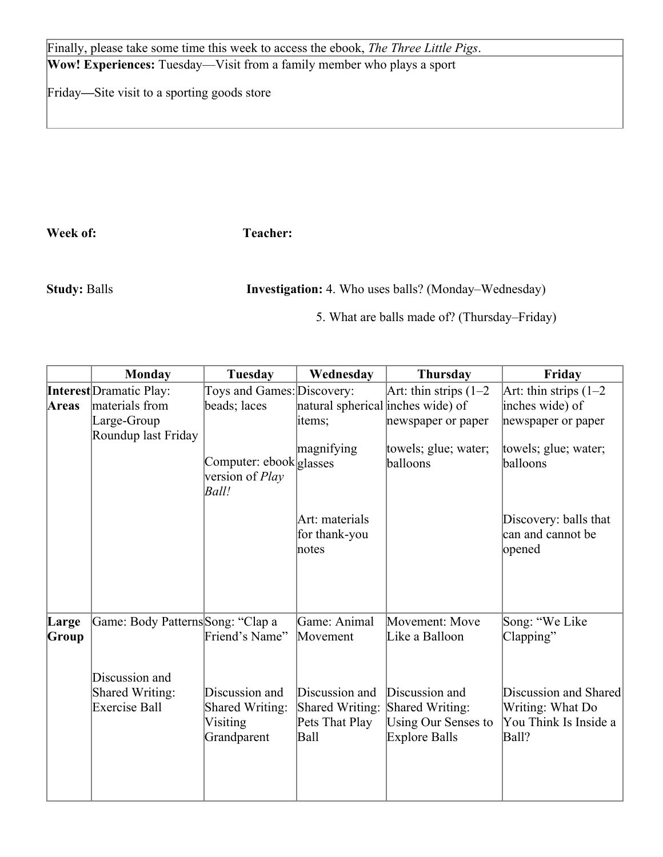Finally, please take some time this week to access the ebook, *The Three Little Pigs*. **Wow! Experiences:** Tuesday—Visit from a family member who plays a sport

Friday**—**Site visit to a sporting goods store

**Week of: Teacher:** 

**Study:** Balls **Investigation:** 4. Who uses balls? (Monday–Wednesday)

5. What are balls made of? (Thursday–Friday)

|       | <b>Monday</b>                     | <b>Tuesday</b>                  | Wednesday                         | <b>Thursday</b>            | Friday                   |
|-------|-----------------------------------|---------------------------------|-----------------------------------|----------------------------|--------------------------|
|       | <b>Interest</b> Dramatic Play:    | Toys and Games: Discovery:      |                                   | Art: thin strips $(1-2)$   | Art: thin strips $(1-2)$ |
| Areas | materials from                    | beads; laces                    | natural spherical inches wide) of |                            | inches wide) of          |
|       | Large-Group                       |                                 | items;                            | newspaper or paper         | newspaper or paper       |
|       | Roundup last Friday               |                                 |                                   |                            |                          |
|       |                                   |                                 | magnifying                        | towels; glue; water;       | towels; glue; water;     |
|       |                                   | Computer: ebook glasses         |                                   | balloons                   | balloons                 |
|       |                                   | version of <i>Play</i><br>Ball! |                                   |                            |                          |
|       |                                   |                                 |                                   |                            |                          |
|       |                                   |                                 | Art: materials                    |                            | Discovery: balls that    |
|       |                                   |                                 | for thank-you                     |                            | can and cannot be        |
|       |                                   |                                 | notes                             |                            | opened                   |
|       |                                   |                                 |                                   |                            |                          |
|       |                                   |                                 |                                   |                            |                          |
|       |                                   |                                 |                                   |                            |                          |
|       |                                   |                                 |                                   |                            |                          |
| Large | Game: Body Patterns Song: "Clap a |                                 | Game: Animal                      | Movement: Move             | Song: "We Like           |
| Group |                                   | Friend's Name"                  | Movement                          | Like a Balloon             | Clapping"                |
|       |                                   |                                 |                                   |                            |                          |
|       | Discussion and                    |                                 |                                   |                            |                          |
|       | <b>Shared Writing:</b>            | Discussion and                  | Discussion and                    | Discussion and             | Discussion and Shared    |
|       | <b>Exercise Ball</b>              | <b>Shared Writing:</b>          | Shared Writing:                   | Shared Writing:            | Writing: What Do         |
|       |                                   | Visiting                        | Pets That Play                    | <b>Using Our Senses to</b> | You Think Is Inside a    |
|       |                                   | Grandparent                     | Ball                              | Explore Balls              | Ball?                    |
|       |                                   |                                 |                                   |                            |                          |
|       |                                   |                                 |                                   |                            |                          |
|       |                                   |                                 |                                   |                            |                          |
|       |                                   |                                 |                                   |                            |                          |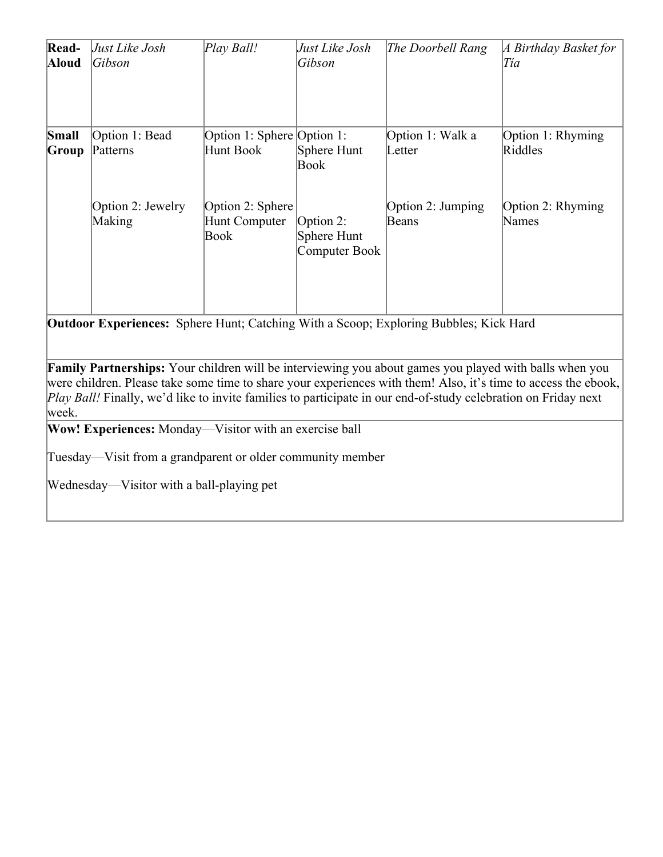| Read-<br>Aloud | Just Like Josh<br>Gibson                                                                     | Play Ball!                                | Just Like Josh<br>Gibson                  | The Doorbell Rang          | A Birthday Basket for<br>Tía |
|----------------|----------------------------------------------------------------------------------------------|-------------------------------------------|-------------------------------------------|----------------------------|------------------------------|
| Small<br>Group | Option 1: Bead<br>Patterns                                                                   | Option 1: Sphere Option 1:<br>Hunt Book   | Sphere Hunt<br>Book                       | Option 1: Walk a<br>Letter | Option 1: Rhyming<br>Riddles |
|                | Option 2: Jewelry<br>Making                                                                  | Option 2: Sphere<br>Hunt Computer<br>Book | Option 2:<br>Sphere Hunt<br>Computer Book | Option 2: Jumping<br>Beans | Option 2: Rhyming<br>Names   |
|                | <b>Outdoor Experiences:</b> Sphere Hunt; Catching With a Scoop; Exploring Bubbles; Kick Hard |                                           |                                           |                            |                              |

**Family Partnerships:** Your children will be interviewing you about games you played with balls when you were children. Please take some time to share your experiences with them! Also, it's time to access the ebook, *Play Ball!* Finally, we'd like to invite families to participate in our end-of-study celebration on Friday next week.

**Wow! Experiences:** Monday—Visitor with an exercise ball

Tuesday—Visit from a grandparent or older community member

Wednesday—Visitor with a ball-playing pet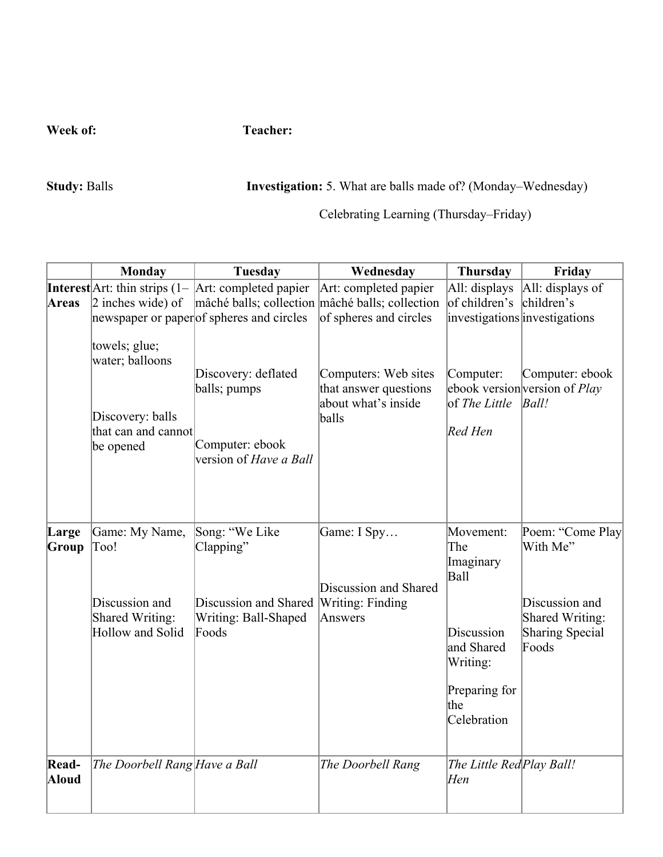**Week of:** Teacher:

**Study:** Balls **Investigation:** 5. What are balls made of? (Monday–Wednesday)

Celebrating Learning (Thursday–Friday)

|                | <b>Monday</b>                           | <b>Tuesday</b>                                          | Wednesday                                                            | <b>Thursday</b>                      | Friday                                                           |
|----------------|-----------------------------------------|---------------------------------------------------------|----------------------------------------------------------------------|--------------------------------------|------------------------------------------------------------------|
|                |                                         | Interest Art: thin strips $(1 -  Art:$ completed papier | Art: completed papier                                                | All: displays                        | All: displays of                                                 |
| <b>Areas</b>   | $\alpha$ inches wide) of                | mâché balls; collection mâché balls; collection         |                                                                      | of children's                        | children's                                                       |
|                |                                         | newspaper or paper of spheres and circles               | of spheres and circles                                               | investigations investigations        |                                                                  |
|                | towels; glue;<br>water; balloons        |                                                         |                                                                      |                                      |                                                                  |
|                |                                         | Discovery: deflated<br>balls; pumps                     | Computers: Web sites<br>that answer questions<br>about what's inside | Computer:<br>of The Little           | Computer: ebook<br>ebook version version of <i>Play</i><br>Ball! |
|                | Discovery: balls<br>that can and cannot |                                                         | balls                                                                | Red Hen                              |                                                                  |
|                | be opened                               | Computer: ebook<br>version of Have a Ball               |                                                                      |                                      |                                                                  |
| Large<br>Group | Game: My Name,<br>Too!                  | Song: "We Like<br>Clapping"                             | Game: I Spy                                                          | Movement:<br>The                     | Poem: "Come Play<br>With Me"                                     |
|                |                                         |                                                         | Discussion and Shared                                                | Imaginary<br>Ball                    |                                                                  |
|                | Discussion and<br>Shared Writing:       | Discussion and Shared<br>Writing: Ball-Shaped           | Writing: Finding<br>Answers                                          |                                      | Discussion and<br>Shared Writing:                                |
|                | Hollow and Solid                        | Foods                                                   |                                                                      | Discussion<br>and Shared<br>Writing: | Sharing Special<br>Foods                                         |
|                |                                         |                                                         |                                                                      | Preparing for<br>the<br>Celebration  |                                                                  |
| Read-<br>Aloud | The Doorbell Rang Have a Ball           |                                                         | The Doorbell Rang                                                    | The Little Red Play Ball!<br>Hen     |                                                                  |
|                |                                         |                                                         |                                                                      |                                      |                                                                  |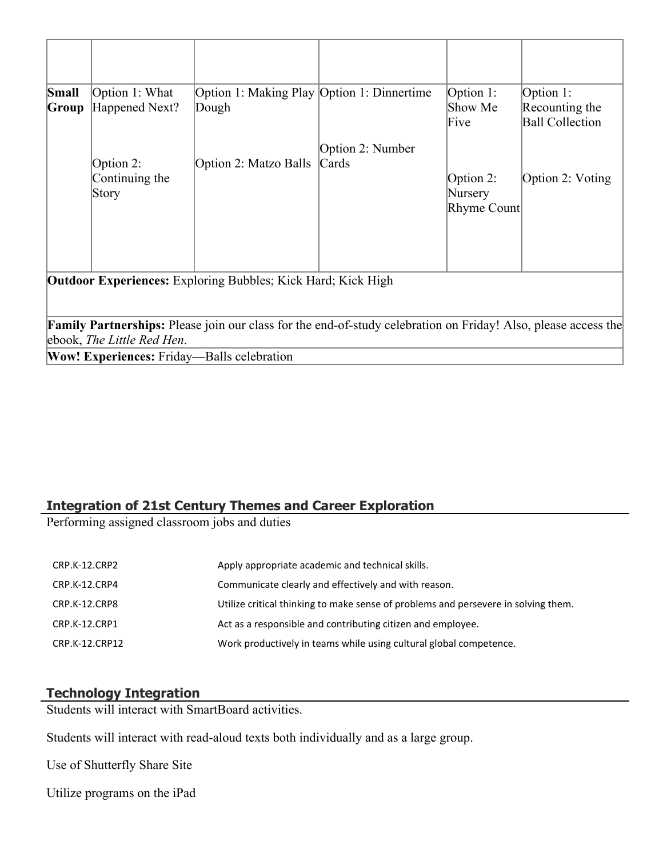| Small<br>Group                                                                                                                                                                                                                                                           | Option 1: What<br>Happened Next?     | Option 1: Making Play Option 1: Dinnertime<br>Dough |                                     | Option 1:<br>Show Me<br>Five        | Option 1:<br>Recounting the<br><b>Ball Collection</b> |
|--------------------------------------------------------------------------------------------------------------------------------------------------------------------------------------------------------------------------------------------------------------------------|--------------------------------------|-----------------------------------------------------|-------------------------------------|-------------------------------------|-------------------------------------------------------|
|                                                                                                                                                                                                                                                                          | Option 2:<br>Continuing the<br>Story | Option 2: Matzo Balls                               | Option 2: Number<br>$\lfloor$ Cards | Option 2:<br>Nursery<br>Rhyme Count | Option 2: Voting                                      |
| <b>Outdoor Experiences:</b> Exploring Bubbles; Kick Hard; Kick High<br><b>Family Partnerships:</b> Please join our class for the end-of-study celebration on Friday! Also, please access the<br>ebook, The Little Red Hen.<br>Wow! Experiences: Friday—Balls celebration |                                      |                                                     |                                     |                                     |                                                       |

**Wow! Experiences:** Friday—Balls celebration

# **Integration of 21st Century Themes and Career Exploration**

Performing assigned classroom jobs and duties

| CRP.K-12.CRP2  | Apply appropriate academic and technical skills.                                   |
|----------------|------------------------------------------------------------------------------------|
| CRP.K-12.CRP4  | Communicate clearly and effectively and with reason.                               |
| CRP.K-12.CRP8  | Utilize critical thinking to make sense of problems and persevere in solving them. |
| CRP.K-12.CRP1  | Act as a responsible and contributing citizen and employee.                        |
| CRP.K-12.CRP12 | Work productively in teams while using cultural global competence.                 |

# **Technology Integration**

Students will interact with SmartBoard activities.

Students will interact with read-aloud texts both individually and as a large group.

Use of Shutterfly Share Site

Utilize programs on the iPad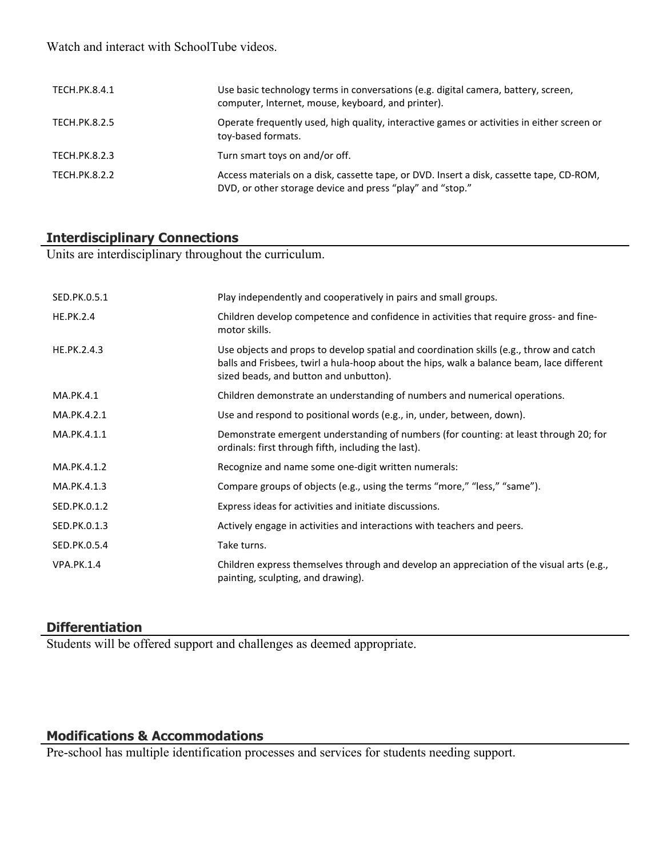Watch and interact with SchoolTube videos.

| TECH.PK.8.4.1        | Use basic technology terms in conversations (e.g. digital camera, battery, screen,<br>computer, Internet, mouse, keyboard, and printer).              |
|----------------------|-------------------------------------------------------------------------------------------------------------------------------------------------------|
| TECH.PK.8.2.5        | Operate frequently used, high quality, interactive games or activities in either screen or<br>toy-based formats.                                      |
| TECH.PK.8.2.3        | Turn smart toys on and/or off.                                                                                                                        |
| <b>TECH.PK.8.2.2</b> | Access materials on a disk, cassette tape, or DVD. Insert a disk, cassette tape, CD-ROM,<br>DVD, or other storage device and press "play" and "stop." |

#### **Interdisciplinary Connections**

Units are interdisciplinary throughout the curriculum.

| SED.PK.0.5.1      | Play independently and cooperatively in pairs and small groups.                                                                                                                                                                |
|-------------------|--------------------------------------------------------------------------------------------------------------------------------------------------------------------------------------------------------------------------------|
| <b>HE.PK.2.4</b>  | Children develop competence and confidence in activities that require gross- and fine-<br>motor skills.                                                                                                                        |
| HE.PK.2.4.3       | Use objects and props to develop spatial and coordination skills (e.g., throw and catch<br>balls and Frisbees, twirl a hula-hoop about the hips, walk a balance beam, lace different<br>sized beads, and button and unbutton). |
| MA.PK.4.1         | Children demonstrate an understanding of numbers and numerical operations.                                                                                                                                                     |
| MA.PK.4.2.1       | Use and respond to positional words (e.g., in, under, between, down).                                                                                                                                                          |
| MA.PK.4.1.1       | Demonstrate emergent understanding of numbers (for counting: at least through 20; for<br>ordinals: first through fifth, including the last).                                                                                   |
| MA.PK.4.1.2       | Recognize and name some one-digit written numerals:                                                                                                                                                                            |
| MA.PK.4.1.3       | Compare groups of objects (e.g., using the terms "more," "less," "same").                                                                                                                                                      |
| SED.PK.0.1.2      | Express ideas for activities and initiate discussions.                                                                                                                                                                         |
| SED.PK.0.1.3      | Actively engage in activities and interactions with teachers and peers.                                                                                                                                                        |
| SED.PK.0.5.4      | Take turns.                                                                                                                                                                                                                    |
| <b>VPA.PK.1.4</b> | Children express themselves through and develop an appreciation of the visual arts (e.g.,<br>painting, sculpting, and drawing).                                                                                                |

# **Differentiation**

Students will be offered support and challenges as deemed appropriate.

# **Modifications & Accommodations**

Pre-school has multiple identification processes and services for students needing support.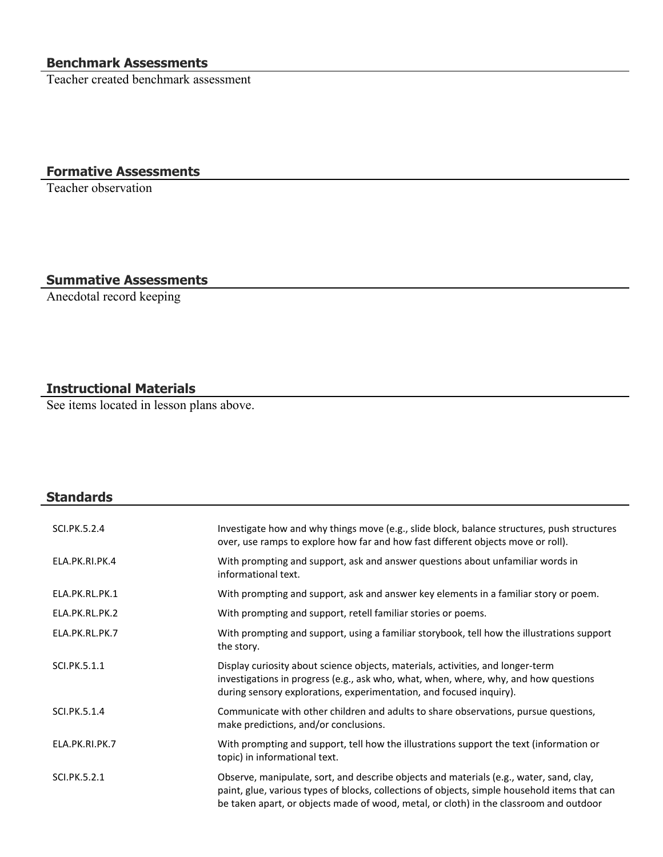# **Benchmark Assessments**

Teacher created benchmark assessment

# **Formative Assessments**

Teacher observation

# **Summative Assessments**

Anecdotal record keeping

# **Instructional Materials**

**Standards**

See items located in lesson plans above.

| SCI.PK.5.2.4   | Investigate how and why things move (e.g., slide block, balance structures, push structures<br>over, use ramps to explore how far and how fast different objects move or roll).                                                                                                    |
|----------------|------------------------------------------------------------------------------------------------------------------------------------------------------------------------------------------------------------------------------------------------------------------------------------|
| ELA.PK.RI.PK.4 | With prompting and support, ask and answer questions about unfamiliar words in<br>informational text.                                                                                                                                                                              |
| ELA.PK.RL.PK.1 | With prompting and support, ask and answer key elements in a familiar story or poem.                                                                                                                                                                                               |
| ELA.PK.RL.PK.2 | With prompting and support, retell familiar stories or poems.                                                                                                                                                                                                                      |
| ELA.PK.RL.PK.7 | With prompting and support, using a familiar storybook, tell how the illustrations support<br>the story.                                                                                                                                                                           |
| SCI.PK.5.1.1   | Display curiosity about science objects, materials, activities, and longer-term<br>investigations in progress (e.g., ask who, what, when, where, why, and how questions<br>during sensory explorations, experimentation, and focused inquiry).                                     |
| SCI.PK.5.1.4   | Communicate with other children and adults to share observations, pursue questions,<br>make predictions, and/or conclusions.                                                                                                                                                       |
| ELA.PK.RI.PK.7 | With prompting and support, tell how the illustrations support the text (information or<br>topic) in informational text.                                                                                                                                                           |
| SCI.PK.5.2.1   | Observe, manipulate, sort, and describe objects and materials (e.g., water, sand, clay,<br>paint, glue, various types of blocks, collections of objects, simple household items that can<br>be taken apart, or objects made of wood, metal, or cloth) in the classroom and outdoor |